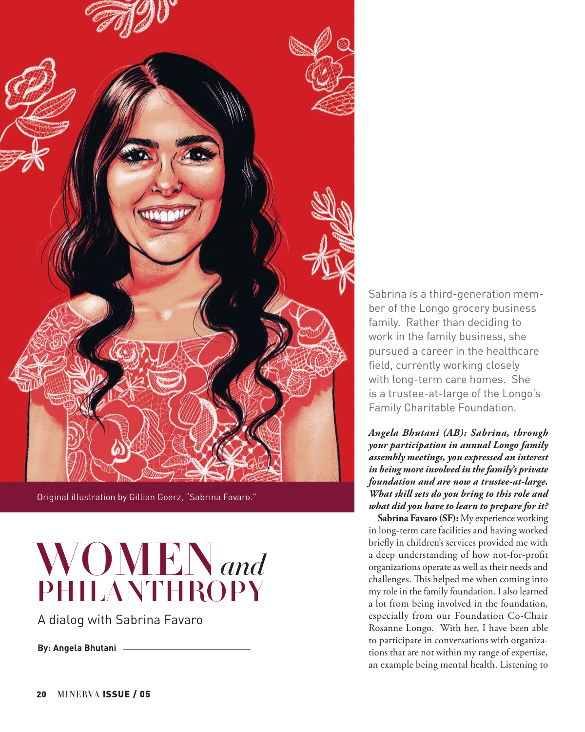

Original illustration by Gillian Goerz, "Sabrina Favaro."



A dialog with Sabrina Favaro

**By: Angela Bhutani**

Sabrina is a third-generation member of the Longo grocery business family. Rather than deciding to work in the family business, she pursued a career in the healthcare field, currently working closely with long-term care homes. She is a trustee-at-large of the Longo's Family Charitable Foundation.

*Angela Bhutani (AB): Sabrina, through your participation in annual Longo family assembly meetings, you expressed an interest in being more involved in the family's private foundation and are now a trustee-at-large. What skill sets do you bring to this role and what did you have to learn to prepare for it?*

**Sabrina Favaro (SF):** My experience working in long-term care facilities and having worked briefly in children's services provided me with a deep understanding of how not-for-profit organizations operate as well as their needs and challenges. This helped me when coming into my role in the family foundation. I also learned a lot from being involved in the foundation, especially from our Foundation Co-Chair Rosanne Longo. With her, I have been able to participate in conversations with organizations that are not within my range of expertise, an example being mental health. Listening to